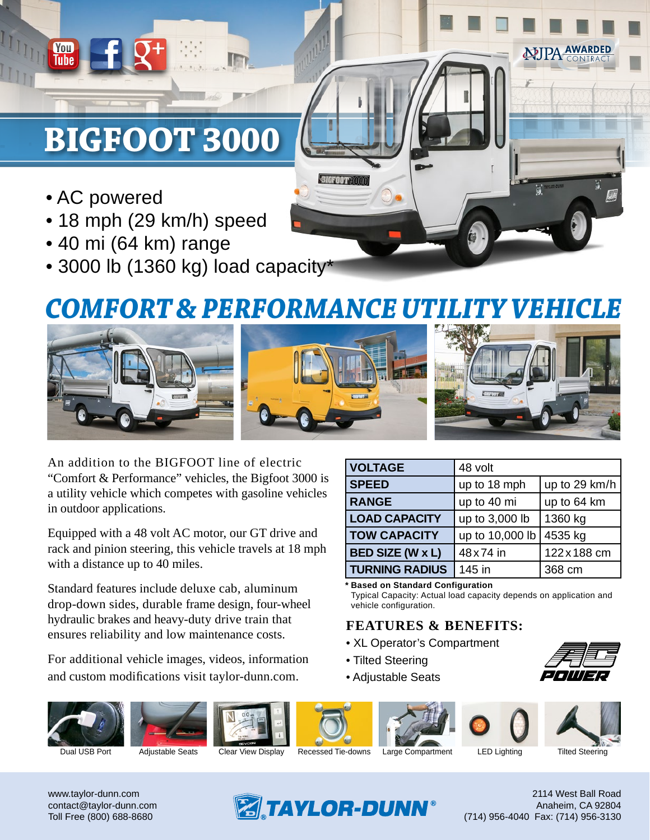# **BIGFOOT 3000**

• AC powered

**You**<br>Tube

- 18 mph (29 km/h) speed
- 40 mi (64 km) range
- 3000 lb (1360 kg) load capacity\*

## *COMFORT & PERFORMANCE UTILITY VEHICLE*

**BIGFOOT 3000** 



An addition to the BIGFOOT line of electric "Comfort & Performance" vehicles, the Bigfoot 3000 is a utility vehicle which competes with gasoline vehicles in outdoor applications.

Equipped with a 48 volt AC motor, our GT drive and rack and pinion steering, this vehicle travels at 18 mph with a distance up to 40 miles.

Standard features include deluxe cab, aluminum drop-down sides, durable frame design, four-wheel hydraulic brakes and heavy-duty drive train that ensures reliability and low maintenance costs.

For additional vehicle images, videos, information and custom modifications visit taylor-dunn.com.

| <b>VOLTAGE</b>          | 48 volt         |               |
|-------------------------|-----------------|---------------|
| <b>SPEED</b>            | up to 18 mph    | up to 29 km/h |
| <b>RANGE</b>            | up to 40 mi     | up to 64 km   |
| <b>LOAD CAPACITY</b>    | up to 3,000 lb  | 1360 kg       |
| <b>TOW CAPACITY</b>     | up to 10,000 lb | 4535 kg       |
| <b>BED SIZE (W x L)</b> | 48 x 74 in      | 122 x 188 cm  |
| <b>TURNING RADIUS</b>   | 145 in          | 368 cm        |

**Based on Standard Configuration \***

Typical Capacity: Actual load capacity depends on application and vehicle configuration.

#### **FEATURES & BENEFITS:**

- XL Operator's Compartment
- Tilted Steering
- Adjustable Seats

















Dual USB Port Adjustable Seats Clear View Display Recessed Tie-downs Large Compartment LED Lighting Tilted Steering

www.taylor-dunn.com contact@taylor-dunn.com Toll Free (800) 688-8680



2114 West Ball Road Anaheim, CA 92804 (714) 956-4040 Fax: (714) 956-3130